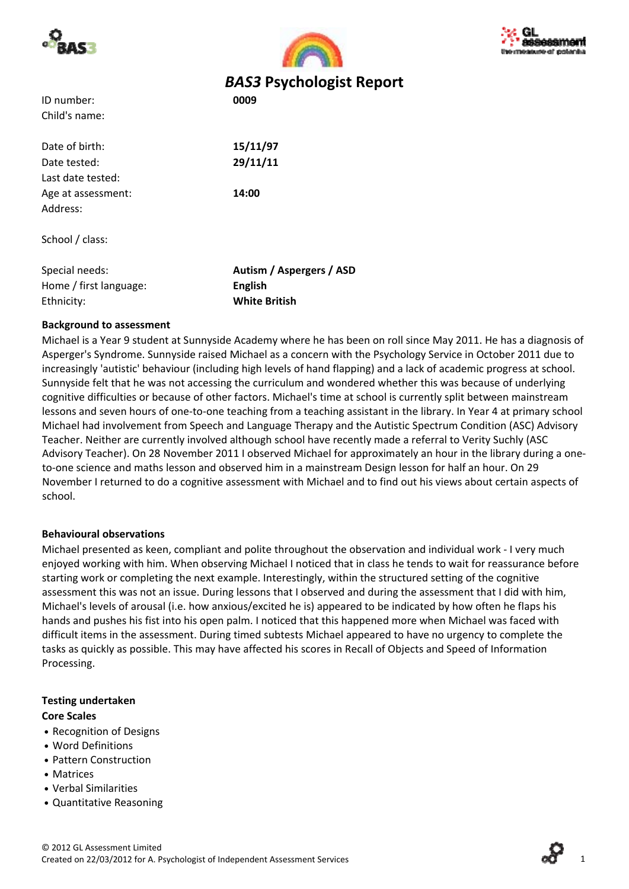





# *BAS3* **Psychologist Report**

| ID number:    | 0009 |
|---------------|------|
| Child's name: |      |

Date of birth: **15/11/97** Date tested: **29/11/11** Last date tested: Age at assessment: **14:00** Address:

School / class:

| Special needs:         | Autism / Aspergers / ASD |
|------------------------|--------------------------|
| Home / first language: | English                  |
| Ethnicity:             | <b>White British</b>     |

### **Background to assessment**

Michael is a Year 9 student at Sunnyside Academy where he has been on roll since May 2011. He has a diagnosis of Asperger's Syndrome. Sunnyside raised Michael as a concern with the Psychology Service in October 2011 due to increasingly 'autistic' behaviour (including high levels of hand flapping) and a lack of academic progress at school. Sunnyside felt that he was not accessing the curriculum and wondered whether this was because of underlying cognitive difficulties or because of other factors. Michael's time at school is currently split between mainstream lessons and seven hours of one-to-one teaching from a teaching assistant in the library. In Year 4 at primary school Michael had involvement from Speech and Language Therapy and the Autistic Spectrum Condition (ASC) Advisory Teacher. Neither are currently involved although school have recently made a referral to Verity Suchly (ASC Advisory Teacher). On 28 November 2011 I observed Michael for approximately an hour in the library during a one‐ to-one science and maths lesson and observed him in a mainstream Design lesson for half an hour. On 29 November I returned to do a cognitive assessment with Michael and to find out his views about certain aspects of school.

### **Behavioural observations**

Michael presented as keen, compliant and polite throughout the observation and individual work ‐ I very much enjoyed working with him. When observing Michael I noticed that in class he tends to wait for reassurance before starting work or completing the next example. Interestingly, within the structured setting of the cognitive assessment this was not an issue. During lessons that I observed and during the assessment that I did with him, Michael's levels of arousal (i.e. how anxious/excited he is) appeared to be indicated by how often he flaps his hands and pushes his fist into his open palm. I noticed that this happened more when Michael was faced with difficult items in the assessment. During timed subtests Michael appeared to have no urgency to complete the tasks as quickly as possible. This may have affected his scores in Recall of Objects and Speed of Information Processing.

### **Testing undertaken**

### **Core Scales**

- **•** Recognition of Designs
- **•** Word Definitions
- **•** Pattern Construction
- **•** Matrices
- **•** Verbal Similarities
- **•** Quantitative Reasoning

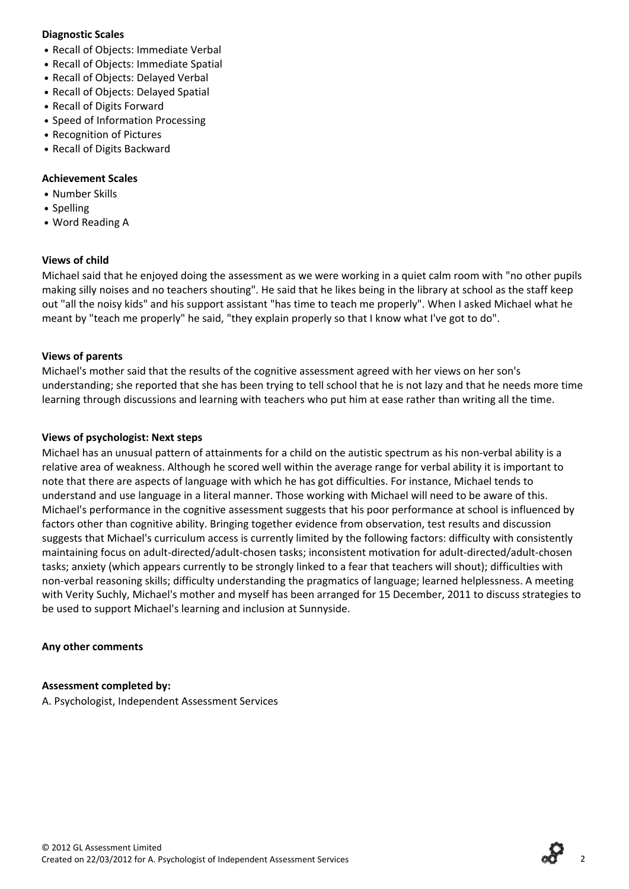#### **Diagnostic Scales**

- **•** Recall of Objects: Immediate Verbal
- **•** Recall of Objects: Immediate Spatial
- **•** Recall of Objects: Delayed Verbal
- **•** Recall of Objects: Delayed Spatial
- **•** Recall of Digits Forward
- **•** Speed of Information Processing
- **•** Recognition of Pictures
- **•** Recall of Digits Backward

### **Achievement Scales**

- **•** Number Skills
- **•** Spelling
- **•** Word Reading A

### **Views of child**

Michael said that he enjoyed doing the assessment as we were working in a quiet calm room with "no other pupils making silly noises and no teachers shouting". He said that he likes being in the library at school as the staff keep out "all the noisy kids" and his support assistant "has time to teach me properly". When I asked Michael what he meant by "teach me properly" he said, "they explain properly so that I know what I've got to do".

### **Views of parents**

Michael's mother said that the results of the cognitive assessment agreed with her views on her son's understanding; she reported that she has been trying to tell school that he is not lazy and that he needs more time learning through discussions and learning with teachers who put him at ease rather than writing all the time.

### **Views of psychologist: Next steps**

Michael has an unusual pattern of attainments for a child on the autistic spectrum as his non‐verbal ability is a relative area of weakness. Although he scored well within the average range for verbal ability it is important to note that there are aspects of language with which he has got difficulties. For instance, Michael tends to understand and use language in a literal manner. Those working with Michael will need to be aware of this. Michael's performance in the cognitive assessment suggests that his poor performance at school is influenced by factors other than cognitive ability. Bringing together evidence from observation, test results and discussion suggests that Michael's curriculum access is currently limited by the following factors: difficulty with consistently maintaining focus on adult‐directed/adult‐chosen tasks; inconsistent motivation for adult‐directed/adult‐chosen tasks; anxiety (which appears currently to be strongly linked to a fear that teachers will shout); difficulties with non‐verbal reasoning skills; difficulty understanding the pragmatics of language; learned helplessness. A meeting with Verity Suchly, Michael's mother and myself has been arranged for 15 December, 2011 to discuss strategies to be used to support Michael's learning and inclusion at Sunnyside.

### **Any other comments**

### **Assessment completed by:**

A. Psychologist, Independent Assessment Services

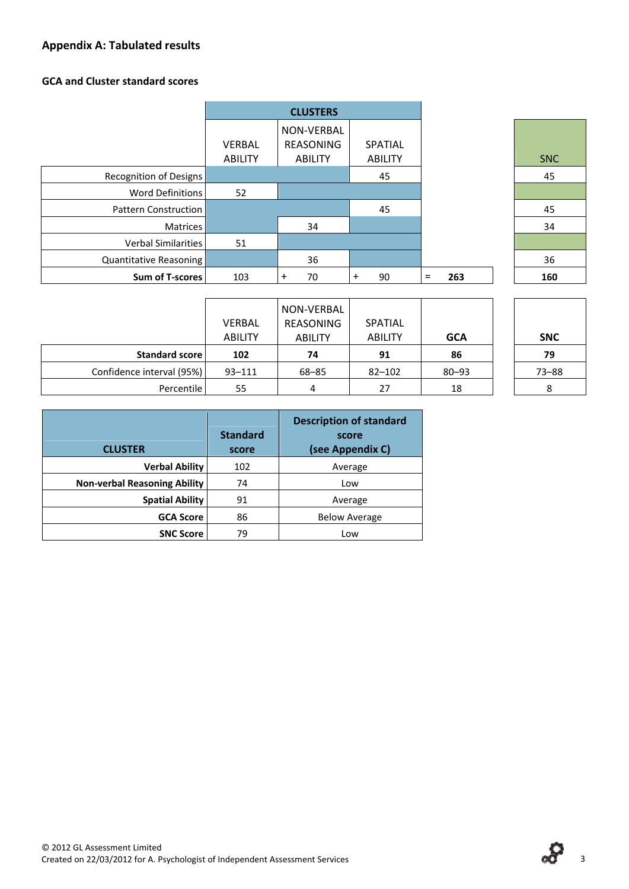# **Appendix A: Tabulated results**

### **GCA and Cluster standard scores**

|                             |                | <b>CLUSTERS</b> |                |            |     |
|-----------------------------|----------------|-----------------|----------------|------------|-----|
|                             |                | NON-VERBAL      |                |            |     |
|                             | <b>VERBAL</b>  | REASONING       | SPATIAL        |            |     |
|                             | <b>ABILITY</b> | <b>ABILITY</b>  | <b>ABILITY</b> |            | SNC |
| Recognition of Designs      |                |                 | 45             |            | 45  |
| Word Definitions            | 52             |                 |                |            |     |
| <b>Pattern Construction</b> |                |                 | 45             |            | 45  |
| <b>Matrices</b>             |                | 34              |                |            | 34  |
| Verbal Similarities         | 51             |                 |                |            |     |
| Quantitative Reasoning      |                | 36              |                |            | 36  |
| Sum of T-scores             | 103            | 70<br>+         | 90<br>$\pm$    | 263<br>$=$ | 160 |

| <b>SNC</b> |  |
|------------|--|
| 45         |  |
|            |  |
| 45         |  |
| 34         |  |
|            |  |
| 36         |  |
| 160        |  |

| <b>SNC</b> |  |
|------------|--|
| 79         |  |
| $73 - 88$  |  |
| 8          |  |

|                           | <b>VERBAL</b><br><b>ABILITY</b> | NON-VERBAL<br>REASONING<br><b>ABILITY</b> | <b>SPATIAL</b><br><b>ABILITY</b> | <b>GCA</b> | <b>SNC</b> |
|---------------------------|---------------------------------|-------------------------------------------|----------------------------------|------------|------------|
| Standard score            | 102                             | 74                                        | 91                               | 86         | 79         |
| Confidence interval (95%) | $93 - 111$                      | $68 - 85$                                 | $82 - 102$                       | $80 - 93$  | $73 - 88$  |
| Percentile                | 55                              | 4                                         | 27                               | 18         |            |

| <b>CLUSTER</b>                      | <b>Standard</b><br>score | <b>Description of standard</b><br>score<br>(see Appendix C) |
|-------------------------------------|--------------------------|-------------------------------------------------------------|
| <b>Verbal Ability</b>               | 102                      | Average                                                     |
| <b>Non-verbal Reasoning Ability</b> | 74                       | Low                                                         |
| <b>Spatial Ability</b>              | 91                       | Average                                                     |
| <b>GCA Score</b>                    | 86                       | <b>Below Average</b>                                        |
| <b>SNC Score</b>                    | 79                       | Low                                                         |

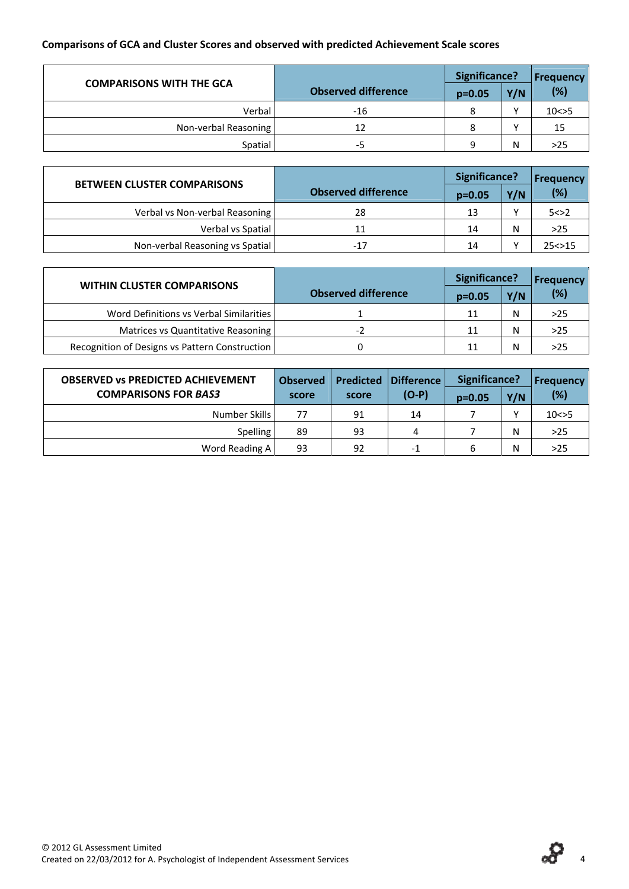# **Comparisons of GCA and Cluster Scores and observed with predicted Achievement Scale scores**

| <b>COMPARISONS WITH THE GCA</b> |                            | Significance? | <b>Frequency</b> |          |
|---------------------------------|----------------------------|---------------|------------------|----------|
|                                 | <b>Observed difference</b> | $p=0.05$      | Y/N              | (%)      |
| Verbal                          | $-16$                      |               |                  | 10 < > 5 |
| Non-verbal Reasoning            | 12                         |               |                  | 15       |
| Spatial                         | -5                         | a             | N                | >25      |

| <b>BETWEEN CLUSTER COMPARISONS</b> |                            | Significance? |     | <b>Frequency</b> |
|------------------------------------|----------------------------|---------------|-----|------------------|
|                                    | <b>Observed difference</b> | $p=0.05$      | Y/N | (%)              |
| Verbal vs Non-verbal Reasoning     | 28                         | 13            |     | 5 < > 2          |
| Verbal vs Spatial                  | 11                         | 14            | Ν   | $>25$            |
| Non-verbal Reasoning vs Spatial    | $-17$                      | 14            |     | 25 < > 15        |

| <b>WITHIN CLUSTER COMPARISONS</b>              |                            | Significance? | Frequency |     |
|------------------------------------------------|----------------------------|---------------|-----------|-----|
|                                                | <b>Observed difference</b> | $p=0.05$      | Y/N       | (%) |
| Word Definitions vs Verbal Similarities        |                            | 11            | N         | >25 |
| Matrices vs Quantitative Reasoning             |                            | 11            | N         | >25 |
| Recognition of Designs vs Pattern Construction |                            | 11            | N         | >25 |

| <b>OBSERVED VS PREDICTED ACHIEVEMENT</b> | <b>Observed</b> | <b>Predicted</b><br>Difference |         | Significance? | <b>Frequency</b> |          |
|------------------------------------------|-----------------|--------------------------------|---------|---------------|------------------|----------|
| <b>COMPARISONS FOR BAS3</b>              | score           | score                          | $(O-P)$ | $p = 0.05$    | Y/N              | (%)      |
| Number Skills                            | 77              | 91                             | 14      |               |                  | 10 < > 5 |
| <b>Spelling</b>                          | 89              | 93                             |         |               | N                | $>25$    |
| Word Reading A                           | 93              | 92                             | -1      | 6             | N                | $>25$    |

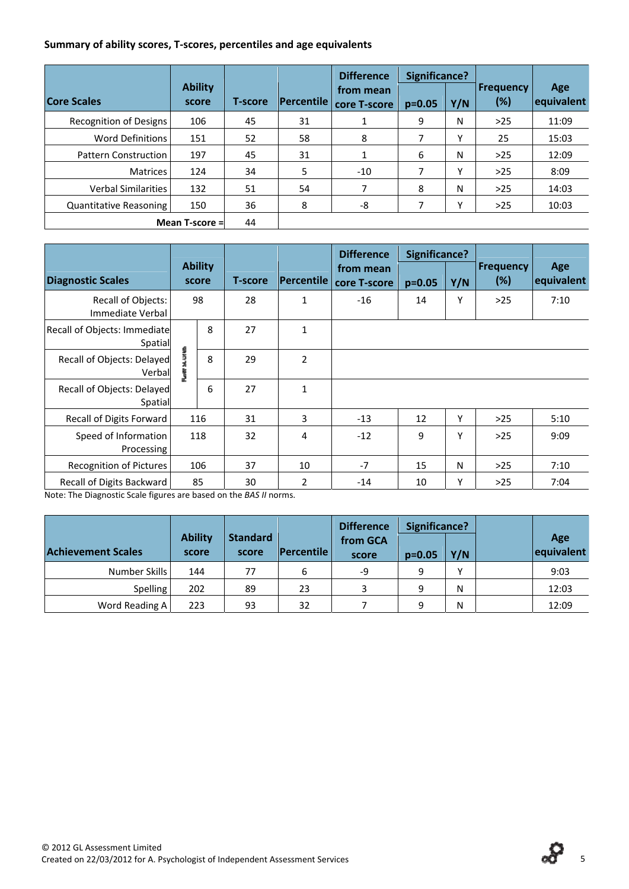#### **Summary of ability scores, T‐scores, percentiles and age equivalents**

|                             |                         |                |                   | <b>Difference</b>         | Significance? |     |                         |                   |
|-----------------------------|-------------------------|----------------|-------------------|---------------------------|---------------|-----|-------------------------|-------------------|
| <b>Core Scales</b>          | <b>Ability</b><br>score | <b>T-score</b> | <b>Percentile</b> | from mean<br>core T-score | $p=0.05$      | Y/N | <b>Frequency</b><br>(%) | Age<br>equivalent |
| Recognition of Designs      | 106                     | 45             | 31                |                           | 9             | N   | $>25$                   | 11:09             |
| Word Definitions            | 151                     | 52             | 58                | 8                         | 7             | Υ   | 25                      | 15:03             |
| <b>Pattern Construction</b> | 197                     | 45             | 31                |                           | 6             | N   | $>25$                   | 12:09             |
| <b>Matrices</b>             | 124                     | 34             | 5                 | $-10$                     |               | ٧   | $>25$                   | 8:09              |
| <b>Verbal Similarities</b>  | 132                     | 51             | 54                | 7                         | 8             | N   | $>25$                   | 14:03             |
| Quantitative Reasoning      | 150                     | 36             | 8                 | -8                        |               | γ   | $>25$                   | 10:03             |
|                             | Mean T-score =          | 44             |                   |                           |               |     |                         |                   |

|                                               |        |                         |                |                | <b>Difference</b>         | <b>Significance?</b> |     |                         |                   |
|-----------------------------------------------|--------|-------------------------|----------------|----------------|---------------------------|----------------------|-----|-------------------------|-------------------|
| <b>Diagnostic Scales</b>                      |        | <b>Ability</b><br>score | <b>T-score</b> | Percentile     | from mean<br>core T-score | $p = 0.05$           | Y/N | <b>Frequency</b><br>(%) | Age<br>equivalent |
| <b>Recall of Objects:</b><br>Immediate Verbal |        | 98                      | 28             | $\mathbf{1}$   | $-16$                     | 14                   | Υ   | >25                     | 7:10              |
| Recall of Objects: Immediate<br>Spatial       |        | $\mathbf{8}$            | 27             | $\mathbf{1}$   |                           |                      |     |                         |                   |
| Recall of Objects: Delayed<br>Verball         | s<br>3 | 8                       | 29             | $\overline{2}$ |                           |                      |     |                         |                   |
| Recall of Objects: Delayed<br>Spatial         |        | 6                       | 27             | $\mathbf{1}$   |                           |                      |     |                         |                   |
| Recall of Digits Forward                      |        | 116                     | 31             | 3              | $-13$                     | 12                   | Υ   | $>25$                   | 5:10              |
| Speed of Information<br>Processing            |        | 118                     | 32             | 4              | $-12$                     | 9                    | Υ   | $>25$                   | 9:09              |
| <b>Recognition of Pictures</b>                |        | 106                     | 37             | 10             | $-7$                      | 15                   | N   | $>25$                   | 7:10              |
| Recall of Digits Backward                     |        | 85                      | 30             | $\overline{2}$ | $-14$                     | 10                   | Υ   | $>25$                   | 7:04              |

Note: The Diagnostic Scale figures are based on the *BAS II* norms.

|                           |                         |                          |                   | <b>Difference</b> | <b>Significance?</b> |              |                   |
|---------------------------|-------------------------|--------------------------|-------------------|-------------------|----------------------|--------------|-------------------|
| <b>Achievement Scales</b> | <b>Ability</b><br>score | <b>Standard</b><br>score | <b>Percentile</b> | from GCA<br>score | $p=0.05$             | Y/N          | Age<br>equivalent |
| Number Skills             | 144                     | 77                       | 6                 | -9                | 9                    | $\checkmark$ | 9:03              |
| <b>Spelling</b>           | 202                     | 89                       | 23                | 3                 | 9                    | N            | 12:03             |
| Word Reading A            | 223                     | 93                       | 32                |                   | 9                    | N            | 12:09             |

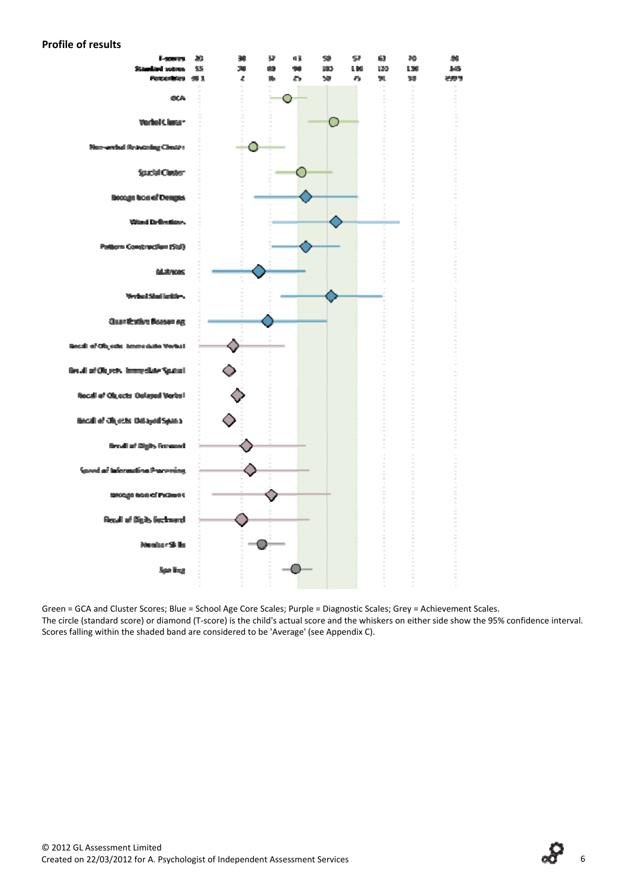#### **Profile of results**



Green = GCA and Cluster Scores; Blue = School Age Core Scales; Purple = Diagnostic Scales; Grey = Achievement Scales. The circle (standard score) or diamond (T‐score) is the child's actual score and the whiskers on either side show the 95% confidence interval. Scores falling within the shaded band are considered to be 'Average' (see Appendix C).

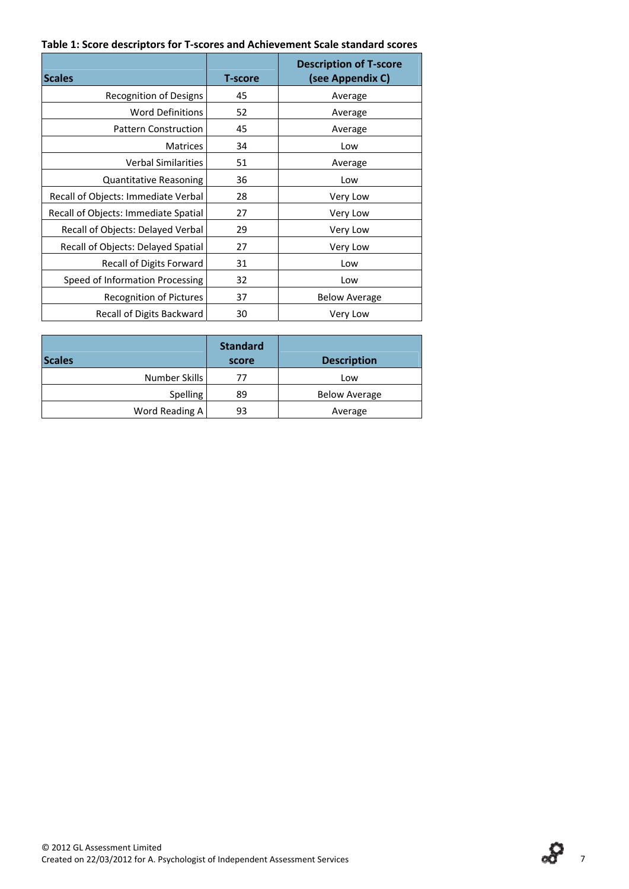#### **Table 1: Score descriptors for T‐scores and Achievement Scale standard scores**

| <b>Scales</b>                        | <b>T-score</b> | <b>Description of T-score</b><br>(see Appendix C) |
|--------------------------------------|----------------|---------------------------------------------------|
| <b>Recognition of Designs</b>        | 45             | Average                                           |
| <b>Word Definitions</b>              | 52             | Average                                           |
| <b>Pattern Construction</b>          | 45             | Average                                           |
| <b>Matrices</b>                      | 34             | Low                                               |
| <b>Verbal Similarities</b>           | 51             | Average                                           |
| <b>Quantitative Reasoning</b>        | 36             | Low                                               |
| Recall of Objects: Immediate Verbal  | 28             | Very Low                                          |
| Recall of Objects: Immediate Spatial | 27             | Very Low                                          |
| Recall of Objects: Delayed Verbal    | 29             | Very Low                                          |
| Recall of Objects: Delayed Spatial   | 27             | Very Low                                          |
| Recall of Digits Forward             | 31             | Low                                               |
| Speed of Information Processing      | 32             | Low                                               |
| Recognition of Pictures              | 37             | <b>Below Average</b>                              |
| Recall of Digits Backward            | 30             | Very Low                                          |

| <b>Scales</b>  | <b>Standard</b><br>score | <b>Description</b>   |
|----------------|--------------------------|----------------------|
| Number Skills  | 77                       | Low                  |
| Spelling       | 89                       | <b>Below Average</b> |
| Word Reading A | 93                       | Average              |

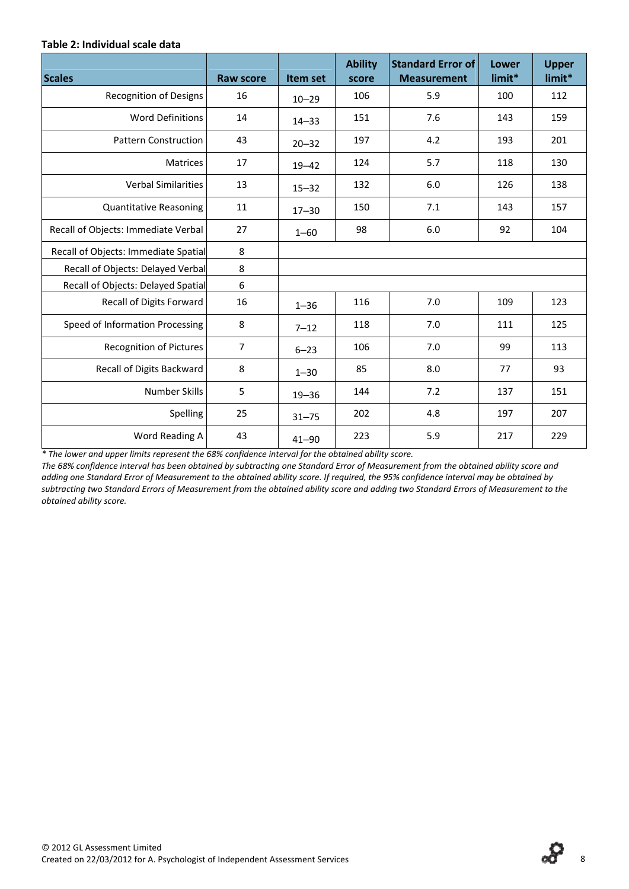#### **Table 2: Individual scale data**

| <b>Scales</b>                        | <b>Raw score</b> | Item set  | <b>Ability</b><br>score | <b>Standard Error of</b><br><b>Measurement</b> | Lower<br>limit* | <b>Upper</b><br>limit* |
|--------------------------------------|------------------|-----------|-------------------------|------------------------------------------------|-----------------|------------------------|
| <b>Recognition of Designs</b>        | 16               | $10 - 29$ | 106                     | 5.9                                            | 100             | 112                    |
| <b>Word Definitions</b>              | 14               | $14 - 33$ | 151                     | 7.6                                            | 143             | 159                    |
| <b>Pattern Construction</b>          | 43               | $20 - 32$ | 197                     | 4.2                                            | 193             | 201                    |
| <b>Matrices</b>                      | 17               | $19 - 42$ | 124                     | 5.7                                            | 118             | 130                    |
| <b>Verbal Similarities</b>           | 13               | $15 - 32$ | 132                     | 6.0                                            | 126             | 138                    |
| <b>Quantitative Reasoning</b>        | 11               | $17 - 30$ | 150                     | 7.1                                            | 143             | 157                    |
| Recall of Objects: Immediate Verbal  | 27               | $1 - 60$  | 98                      | 6.0                                            | 92              | 104                    |
| Recall of Objects: Immediate Spatial | 8                |           |                         |                                                |                 |                        |
| Recall of Objects: Delayed Verbal    | 8                |           |                         |                                                |                 |                        |
| Recall of Objects: Delayed Spatial   | $\boldsymbol{6}$ |           |                         |                                                |                 |                        |
| Recall of Digits Forward             | 16               | $1 - 36$  | 116                     | 7.0                                            | 109             | 123                    |
| Speed of Information Processing      | 8                | $7 - 12$  | 118                     | 7.0                                            | 111             | 125                    |
| <b>Recognition of Pictures</b>       | $\overline{7}$   | $6 - 23$  | 106                     | 7.0                                            | 99              | 113                    |
| Recall of Digits Backward            | 8                | $1 - 30$  | 85                      | 8.0                                            | 77              | 93                     |
| Number Skills                        | 5                | $19 - 36$ | 144                     | 7.2                                            | 137             | 151                    |
| Spelling                             | 25               | $31 - 75$ | 202                     | 4.8                                            | 197             | 207                    |
| Word Reading A                       | 43               | $41 - 90$ | 223                     | 5.9                                            | 217             | 229                    |

*\* The lower and upper limits represent the 68% confidence interval for the obtained ability score.*

The 68% confidence interval has been obtained by subtracting one Standard Error of Measurement from the obtained ability score and adding one Standard Error of Measurement to the obtained ability score. If required, the 95% confidence interval may be obtained by subtracting two Standard Errors of Measurement from the obtained ability score and adding two Standard Errors of Measurement to the *obtained ability score.*

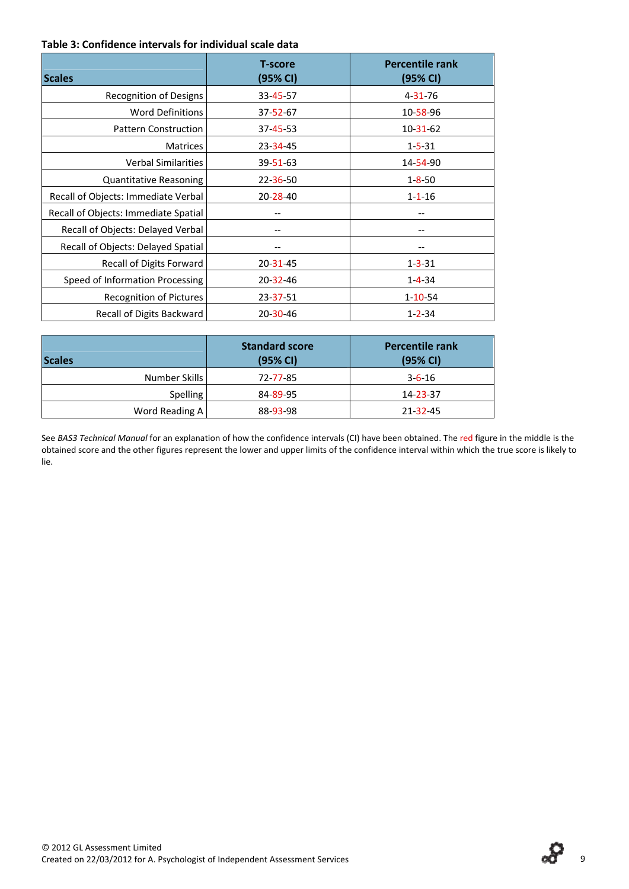#### **Table 3: Confidence intervals for individual scale data**

| <b>Scales</b>                        | <b>T-score</b><br>(95% CI) | <b>Percentile rank</b><br>(95% CI) |
|--------------------------------------|----------------------------|------------------------------------|
| <b>Recognition of Designs</b>        | 33-45-57                   | $4 - 31 - 76$                      |
| <b>Word Definitions</b>              | $37 - 52 - 67$             | 10-58-96                           |
| <b>Pattern Construction</b>          | $37 - 45 - 53$             | $10 - 31 - 62$                     |
| <b>Matrices</b>                      | $23 - 34 - 45$             | $1 - 5 - 31$                       |
| <b>Verbal Similarities</b>           | 39-51-63                   | 14-54-90                           |
| <b>Quantitative Reasoning</b>        | $22 - 36 - 50$             | $1 - 8 - 50$                       |
| Recall of Objects: Immediate Verbal  | 20-28-40                   | $1 - 1 - 16$                       |
| Recall of Objects: Immediate Spatial |                            |                                    |
| Recall of Objects: Delayed Verbal    |                            |                                    |
| Recall of Objects: Delayed Spatial   |                            |                                    |
| Recall of Digits Forward             | 20-31-45                   | $1 - 3 - 31$                       |
| Speed of Information Processing      | $20 - 32 - 46$             | $1 - 4 - 34$                       |
| <b>Recognition of Pictures</b>       | 23-37-51                   | $1 - 10 - 54$                      |
| Recall of Digits Backward            | $20 - 30 - 46$             | $1 - 2 - 34$                       |

| <b>Scales</b>   | <b>Standard score</b><br>(95% CI) | <b>Percentile rank</b><br>(95% CI) |
|-----------------|-----------------------------------|------------------------------------|
| Number Skills   | 72-77-85                          | $3 - 6 - 16$                       |
| <b>Spelling</b> | 84-89-95                          | 14-23-37                           |
| Word Reading A  | 88-93-98                          | 21-32-45                           |

See *BAS3 Technical Manual* for an explanation of how the confidence intervals (CI) have been obtained. The red figure in the middle is the obtained score and the other figures represent the lower and upper limits of the confidence interval within which the true score is likely to lie.

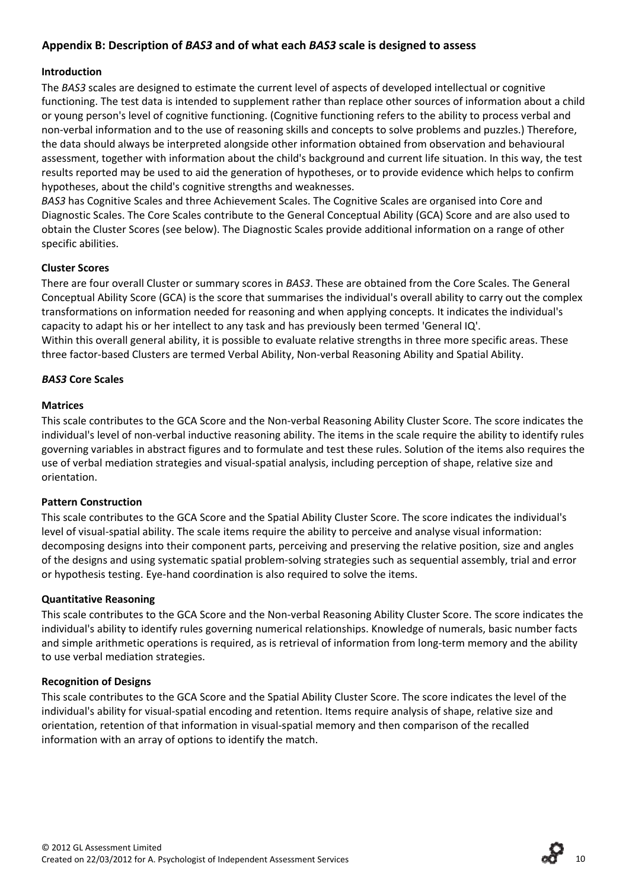## **Appendix B: Description of** *BAS3* **and of what each** *BAS3* **scale is designed to assess**

#### **Introduction**

The *BAS3* scales are designed to estimate the current level of aspects of developed intellectual or cognitive functioning. The test data is intended to supplement rather than replace other sources of information about a child or young person's level of cognitive functioning. (Cognitive functioning refers to the ability to process verbal and non‐verbal information and to the use of reasoning skills and concepts to solve problems and puzzles.) Therefore, the data should always be interpreted alongside other information obtained from observation and behavioural assessment, together with information about the child's background and current life situation. In this way, the test results reported may be used to aid the generation of hypotheses, or to provide evidence which helps to confirm hypotheses, about the child's cognitive strengths and weaknesses.

*BAS3* has Cognitive Scales and three Achievement Scales. The Cognitive Scales are organised into Core and Diagnostic Scales. The Core Scales contribute to the General Conceptual Ability (GCA) Score and are also used to obtain the Cluster Scores (see below). The Diagnostic Scales provide additional information on a range of other specific abilities.

#### **Cluster Scores**

There are four overall Cluster or summary scores in *BAS3*. These are obtained from the Core Scales. The General Conceptual Ability Score (GCA) is the score that summarises the individual's overall ability to carry out the complex transformations on information needed for reasoning and when applying concepts. It indicates the individual's capacity to adapt his or her intellect to any task and has previously been termed 'General IQ'. Within this overall general ability, it is possible to evaluate relative strengths in three more specific areas. These three factor‐based Clusters are termed Verbal Ability, Non‐verbal Reasoning Ability and Spatial Ability.

#### *BAS3* **Core Scales**

#### **Matrices**

This scale contributes to the GCA Score and the Non‐verbal Reasoning Ability Cluster Score. The score indicates the individual's level of non‐verbal inductive reasoning ability. The items in the scale require the ability to identify rules governing variables in abstract figures and to formulate and test these rules. Solution of the items also requires the use of verbal mediation strategies and visual‐spatial analysis, including perception of shape, relative size and orientation.

### **Pattern Construction**

This scale contributes to the GCA Score and the Spatial Ability Cluster Score. The score indicates the individual's level of visual‐spatial ability. The scale items require the ability to perceive and analyse visual information: decomposing designs into their component parts, perceiving and preserving the relative position, size and angles of the designs and using systematic spatial problem‐solving strategies such as sequential assembly, trial and error or hypothesis testing. Eye‐hand coordination is also required to solve the items.

#### **Quantitative Reasoning**

This scale contributes to the GCA Score and the Non‐verbal Reasoning Ability Cluster Score. The score indicates the individual's ability to identify rules governing numerical relationships. Knowledge of numerals, basic number facts and simple arithmetic operations is required, as is retrieval of information from long-term memory and the ability to use verbal mediation strategies.

#### **Recognition of Designs**

This scale contributes to the GCA Score and the Spatial Ability Cluster Score. The score indicates the level of the individual's ability for visual‐spatial encoding and retention. Items require analysis of shape, relative size and orientation, retention of that information in visual‐spatial memory and then comparison of the recalled information with an array of options to identify the match.

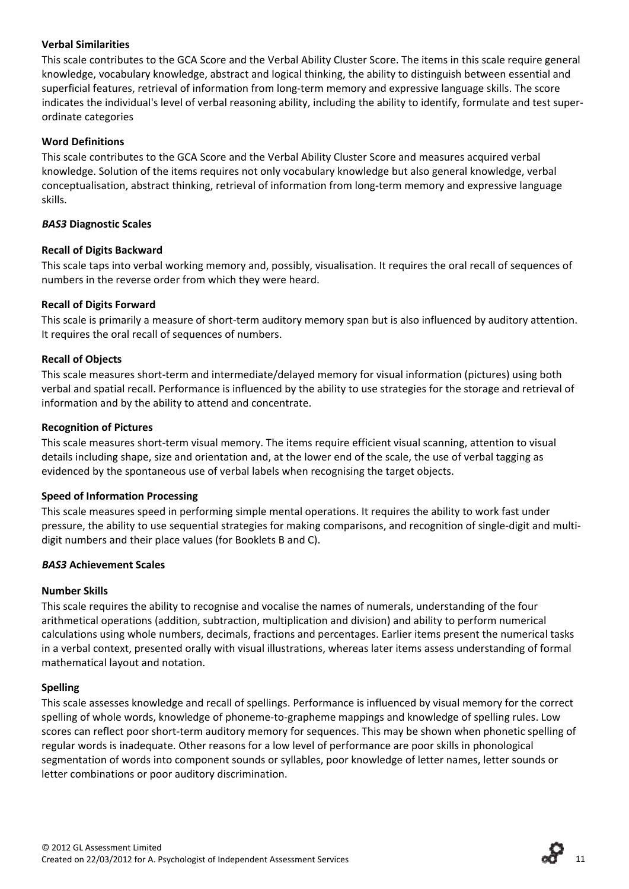#### **Verbal Similarities**

This scale contributes to the GCA Score and the Verbal Ability Cluster Score. The items in this scale require general knowledge, vocabulary knowledge, abstract and logical thinking, the ability to distinguish between essential and superficial features, retrieval of information from long‐term memory and expressive language skills. The score indicates the individual's level of verbal reasoning ability, including the ability to identify, formulate and test super‐ ordinate categories

#### **Word Definitions**

This scale contributes to the GCA Score and the Verbal Ability Cluster Score and measures acquired verbal knowledge. Solution of the items requires not only vocabulary knowledge but also general knowledge, verbal conceptualisation, abstract thinking, retrieval of information from long‐term memory and expressive language skills.

#### *BAS3* **Diagnostic Scales**

#### **Recall of Digits Backward**

This scale taps into verbal working memory and, possibly, visualisation. It requires the oral recall of sequences of numbers in the reverse order from which they were heard.

#### **Recall of Digits Forward**

This scale is primarily a measure of short-term auditory memory span but is also influenced by auditory attention. It requires the oral recall of sequences of numbers.

#### **Recall of Objects**

This scale measures short-term and intermediate/delayed memory for visual information (pictures) using both verbal and spatial recall. Performance is influenced by the ability to use strategies for the storage and retrieval of information and by the ability to attend and concentrate.

#### **Recognition of Pictures**

This scale measures short-term visual memory. The items require efficient visual scanning, attention to visual details including shape, size and orientation and, at the lower end of the scale, the use of verbal tagging as evidenced by the spontaneous use of verbal labels when recognising the target objects.

#### **Speed of Information Processing**

This scale measures speed in performing simple mental operations. It requires the ability to work fast under pressure, the ability to use sequential strategies for making comparisons, and recognition of single-digit and multidigit numbers and their place values (for Booklets B and C).

#### *BAS3* **Achievement Scales**

#### **Number Skills**

This scale requires the ability to recognise and vocalise the names of numerals, understanding of the four arithmetical operations (addition, subtraction, multiplication and division) and ability to perform numerical calculations using whole numbers, decimals, fractions and percentages. Earlier items present the numerical tasks in a verbal context, presented orally with visual illustrations, whereas later items assess understanding of formal mathematical layout and notation.

#### **Spelling**

This scale assesses knowledge and recall of spellings. Performance is influenced by visual memory for the correct spelling of whole words, knowledge of phoneme‐to‐grapheme mappings and knowledge of spelling rules. Low scores can reflect poor short-term auditory memory for sequences. This may be shown when phonetic spelling of regular words is inadequate. Other reasons for a low level of performance are poor skills in phonological segmentation of words into component sounds or syllables, poor knowledge of letter names, letter sounds or letter combinations or poor auditory discrimination.

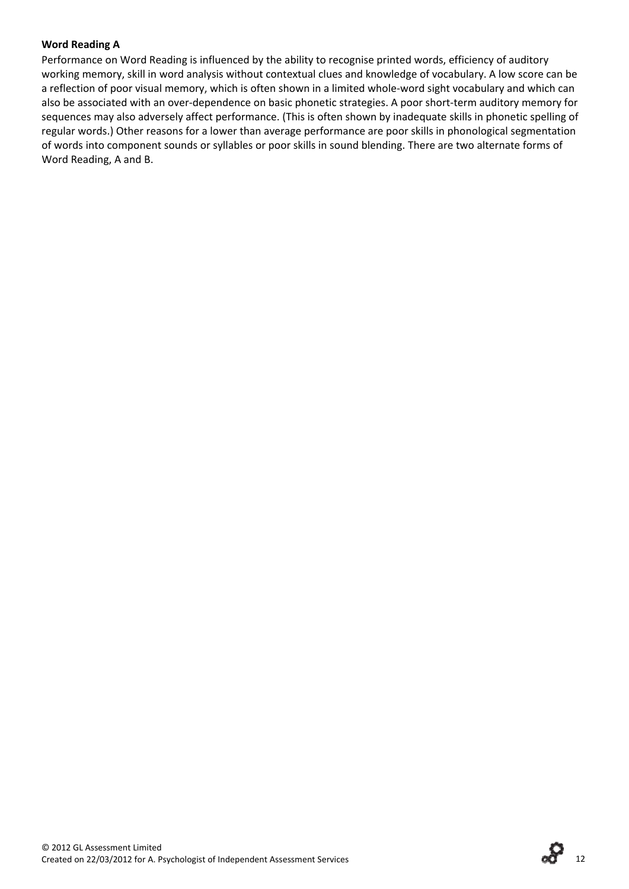#### **Word Reading A**

Performance on Word Reading is influenced by the ability to recognise printed words, efficiency of auditory working memory, skill in word analysis without contextual clues and knowledge of vocabulary. A low score can be a reflection of poor visual memory, which is often shown in a limited whole‐word sight vocabulary and which can also be associated with an over-dependence on basic phonetic strategies. A poor short-term auditory memory for sequences may also adversely affect performance. (This is often shown by inadequate skills in phonetic spelling of regular words.) Other reasons for a lower than average performance are poor skills in phonological segmentation of words into component sounds or syllables or poor skills in sound blending. There are two alternate forms of Word Reading, A and B.

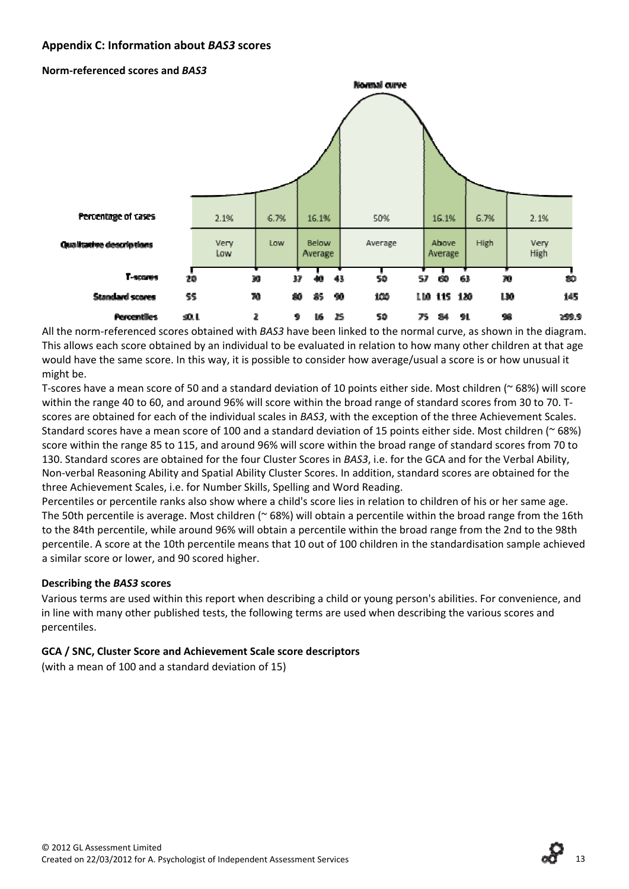### **Appendix C: Information about** *BAS3* **scores**

**Norm‐referenced scores and** *BAS3*



All the norm‐referenced scores obtained with *BAS3* have been linked to the normal curve, as shown in the diagram. This allows each score obtained by an individual to be evaluated in relation to how many other children at that age would have the same score. In this way, it is possible to consider how average/usual a score is or how unusual it might be.

T‐scores have a mean score of 50 and a standard deviation of 10 points either side. Most children (~ 68%) will score within the range 40 to 60, and around 96% will score within the broad range of standard scores from 30 to 70. T‐ scores are obtained for each of the individual scales in *BAS3*, with the exception of the three Achievement Scales. Standard scores have a mean score of 100 and a standard deviation of 15 points either side. Most children (~ 68%) score within the range 85 to 115, and around 96% will score within the broad range of standard scores from 70 to 130. Standard scores are obtained for the four Cluster Scores in *BAS3*, i.e. for the GCA and for the Verbal Ability, Non‐verbal Reasoning Ability and Spatial Ability Cluster Scores. In addition, standard scores are obtained for the three Achievement Scales, i.e. for Number Skills, Spelling and Word Reading.

Percentiles or percentile ranks also show where a child's score lies in relation to children of his or her same age. The 50th percentile is average. Most children ( $\sim$  68%) will obtain a percentile within the broad range from the 16th to the 84th percentile, while around 96% will obtain a percentile within the broad range from the 2nd to the 98th percentile. A score at the 10th percentile means that 10 out of 100 children in the standardisation sample achieved a similar score or lower, and 90 scored higher.

#### **Describing the** *BAS3* **scores**

Various terms are used within this report when describing a child or young person's abilities. For convenience, and in line with many other published tests, the following terms are used when describing the various scores and percentiles.

#### **GCA / SNC, Cluster Score and Achievement Scale score descriptors**

(with a mean of 100 and a standard deviation of 15)